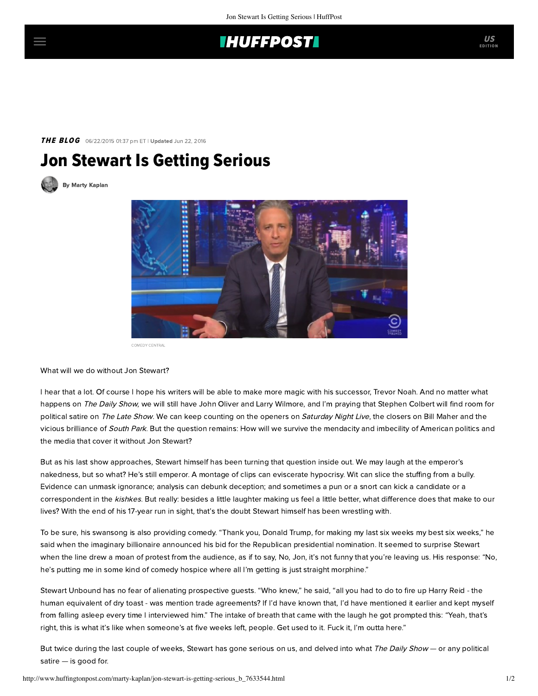## **IHUFFPOSTI**

THE BLOG 06/22/2015 01:37 pm ET | Updated Jun 22, 2016

## Jon Stewart Is Getting Serious

[By Marty Kaplan](http://www.huffingtonpost.com/author/marty-kaplan)



COMEDY CENTRAL

## What will we do without Jon Stewart?

I hear that a lot. Of course I hope his writers will be able to make more magic with his successor, Trevor Noah. And no matter what happens on The Daily Show, we will still have John Oliver and Larry Wilmore, and I'm praying that Stephen Colbert will find room for political satire on The Late Show. We can keep counting on the openers on Saturday Night Live, the closers on Bill Maher and the vicious brilliance of South Park. But the question remains: How will we survive the mendacity and imbecility of American politics and the media that cover it without Jon Stewart?

But as his last show approaches, Stewart himself has been turning that question inside out. We may laugh at the emperor's nakedness, but so what? He's still emperor. A montage of clips can eviscerate hypocrisy. Wit can slice the stuffing from a bully. Evidence can unmask ignorance; analysis can debunk deception; and sometimes a pun or a snort can kick a candidate or a correspondent in the kishkes. But really: besides a little laughter making us feel a little better, what difference does that make to our lives? With the end of his 17-year run in sight, that's the doubt Stewart himself has been wrestling with.

To be sure, his swansong is also providing comedy. "Thank you, Donald Trump, for making my last six weeks my best six weeks," he [said](http://thedailyshow.cc.com/videos/gyhfub/democalypse-2016---white-house-don) when the imaginary billionaire announced his bid for the Republican presidential nomination. It seemed to surprise Stewart when the line drew a moan of protest from the audience, as if to say, No, Jon, it's not funny that you're leaving us. His response: "No, he's putting me in some kind of comedy hospice where all I'm getting is just straight morphine."

Stewart Unbound has no fear of alienating prospective guests. "Who knew," he [said,](http://thedailyshow.cc.com/videos/h4azvj/trading-woes) "all you had to do to fire up Harry Reid - the human equivalent of dry toast - was mention trade agreements? If I'd have known that, I'd have mentioned it earlier and kept myself from falling asleep every time I interviewed him." The intake of breath that came with the laugh he got prompted this: "Yeah, that's right, this is what it's like when someone's at five weeks left, people. Get used to it. Fuck it, I'm outta here."

But twice during the last couple of weeks, Stewart has gone serious on us, and delved into what The Daily Show — or any political satire — is good for.